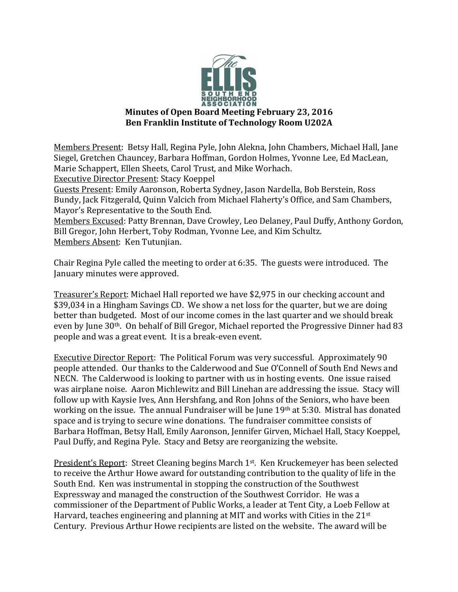

Members Present: Betsy Hall, Regina Pyle, John Alekna, John Chambers, Michael Hall, Jane Siegel, Gretchen Chauncey, Barbara Hoffman, Gordon Holmes, Yvonne Lee, Ed MacLean, Marie Schappert, Ellen Sheets, Carol Trust, and Mike Worhach.

Executive Director Present: Stacy Koeppel

Guests Present: Emily Aaronson, Roberta Sydney, Jason Nardella, Bob Berstein, Ross Bundy, Jack Fitzgerald, Quinn Valcich from Michael Flaherty's Office, and Sam Chambers, Mayor's Representative to the South End.

Members Excused: Patty Brennan, Dave Crowley, Leo Delaney, Paul Duffy, Anthony Gordon, Bill Gregor, John Herbert, Toby Rodman, Yvonne Lee, and Kim Schultz. Members Absent: Ken Tutunjian.

Chair Regina Pyle called the meeting to order at 6:35. The guests were introduced. The January minutes were approved.

Treasurer's Report: Michael Hall reported we have \$2,975 in our checking account and \$39,034 in a Hingham Savings CD. We show a net loss for the quarter, but we are doing better than budgeted. Most of our income comes in the last quarter and we should break even by June 30<sup>th</sup>. On behalf of Bill Gregor, Michael reported the Progressive Dinner had 83 people and was a great event. It is a break-even event.

Executive Director Report: The Political Forum was very successful. Approximately 90 people attended. Our thanks to the Calderwood and Sue O'Connell of South End News and NECN. The Calderwood is looking to partner with us in hosting events. One issue raised was airplane noise. Aaron Michlewitz and Bill Linehan are addressing the issue. Stacy will follow up with Kaysie Ives, Ann Hershfang, and Ron Johns of the Seniors, who have been working on the issue. The annual Fundraiser will be June  $19<sup>th</sup>$  at 5:30. Mistral has donated space and is trying to secure wine donations. The fundraiser committee consists of Barbara Hoffman, Betsy Hall, Emily Aaronson, Jennifer Girven, Michael Hall, Stacy Koeppel, Paul Duffy, and Regina Pyle. Stacy and Betsy are reorganizing the website.

<u>President's Report</u>: Street Cleaning begins March  $1^{st}$ . Ken Kruckemeyer has been selected to receive the Arthur Howe award for outstanding contribution to the quality of life in the South End. Ken was instrumental in stopping the construction of the Southwest Expressway and managed the construction of the Southwest Corridor. He was a commissioner of the Department of Public Works, a leader at Tent City, a Loeb Fellow at Harvard, teaches engineering and planning at MIT and works with Cities in the  $21^{st}$ Century. Previous Arthur Howe recipients are listed on the website. The award will be